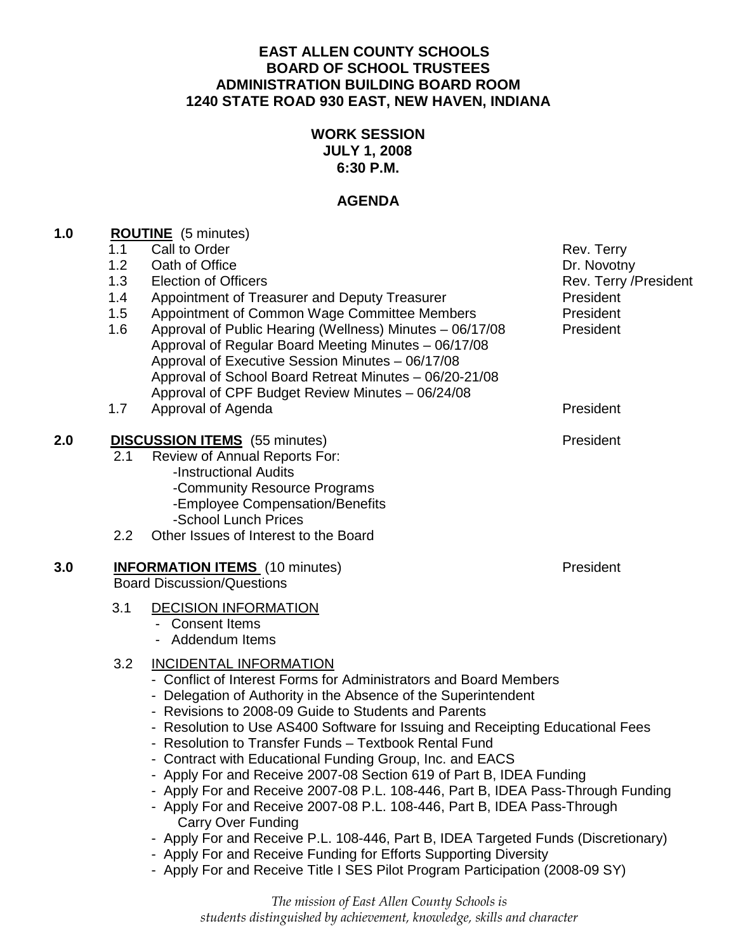### **EAST ALLEN COUNTY SCHOOLS BOARD OF SCHOOL TRUSTEES ADMINISTRATION BUILDING BOARD ROOM 1240 STATE ROAD 930 EAST, NEW HAVEN, INDIANA**

## **WORK SESSION JULY 1, 2008 6:30 P.M.**

## **AGENDA**

| 1.0 | <b>ROUTINE</b> (5 minutes) |  |
|-----|----------------------------|--|
|     | .                          |  |

|     | 1.1 | Call to Order                                                                                                                                                                                            | Rev. Terry            |  |
|-----|-----|----------------------------------------------------------------------------------------------------------------------------------------------------------------------------------------------------------|-----------------------|--|
|     | 1.2 | Oath of Office                                                                                                                                                                                           | Dr. Novotny           |  |
|     | 1.3 | <b>Election of Officers</b>                                                                                                                                                                              | Rev. Terry /President |  |
|     | 1.4 | Appointment of Treasurer and Deputy Treasurer                                                                                                                                                            | President             |  |
|     | 1.5 | Appointment of Common Wage Committee Members                                                                                                                                                             | President             |  |
|     | 1.6 | Approval of Public Hearing (Wellness) Minutes - 06/17/08                                                                                                                                                 | President             |  |
|     |     | Approval of Regular Board Meeting Minutes - 06/17/08                                                                                                                                                     |                       |  |
|     |     | Approval of Executive Session Minutes - 06/17/08                                                                                                                                                         |                       |  |
|     |     | Approval of School Board Retreat Minutes - 06/20-21/08<br>Approval of CPF Budget Review Minutes - 06/24/08                                                                                               |                       |  |
|     |     |                                                                                                                                                                                                          |                       |  |
|     | 1.7 | Approval of Agenda                                                                                                                                                                                       | President             |  |
| 2.0 |     | <b>DISCUSSION ITEMS</b> (55 minutes)                                                                                                                                                                     | President             |  |
|     | 2.1 | <b>Review of Annual Reports For:</b>                                                                                                                                                                     |                       |  |
|     |     | -Instructional Audits                                                                                                                                                                                    |                       |  |
|     |     | -Community Resource Programs                                                                                                                                                                             |                       |  |
|     |     | -Employee Compensation/Benefits                                                                                                                                                                          |                       |  |
|     |     | -School Lunch Prices                                                                                                                                                                                     |                       |  |
|     | 2.2 | Other Issues of Interest to the Board                                                                                                                                                                    |                       |  |
| 3.0 |     | <b>INFORMATION ITEMS</b> (10 minutes)                                                                                                                                                                    | President             |  |
|     |     | <b>Board Discussion/Questions</b>                                                                                                                                                                        |                       |  |
|     | 3.1 | <b>DECISION INFORMATION</b>                                                                                                                                                                              |                       |  |
|     |     | - Consent Items                                                                                                                                                                                          |                       |  |
|     |     | - Addendum Items                                                                                                                                                                                         |                       |  |
|     | 3.2 | <b>INCIDENTAL INFORMATION</b>                                                                                                                                                                            |                       |  |
|     |     | - Conflict of Interest Forms for Administrators and Board Members                                                                                                                                        |                       |  |
|     |     | - Delegation of Authority in the Absence of the Superintendent<br>- Revisions to 2008-09 Guide to Students and Parents<br>- Resolution to Use AS400 Software for Issuing and Receipting Educational Fees |                       |  |
|     |     |                                                                                                                                                                                                          |                       |  |
|     |     |                                                                                                                                                                                                          |                       |  |
|     |     | - Resolution to Transfer Funds - Textbook Rental Fund                                                                                                                                                    |                       |  |
|     |     | - Contract with Educational Funding Group, Inc. and EACS                                                                                                                                                 |                       |  |
|     |     | - Apply For and Receive 2007-08 Section 619 of Part B, IDEA Funding                                                                                                                                      |                       |  |
|     |     | - Apply For and Receive 2007-08 P.L. 108-446, Part B, IDEA Pass-Through Funding                                                                                                                          |                       |  |
|     |     | Apply For and Boopive 2007.09 D.L. 409.446. Dort D. IDEA Doop Through                                                                                                                                    |                       |  |

- Apply For and Receive 2007-08 P.L. 108-446, Part B, IDEA Pass-Through Carry Over Funding
- Apply For and Receive P.L. 108-446, Part B, IDEA Targeted Funds (Discretionary)
- Apply For and Receive Funding for Efforts Supporting Diversity
- Apply For and Receive Title I SES Pilot Program Participation (2008-09 SY)